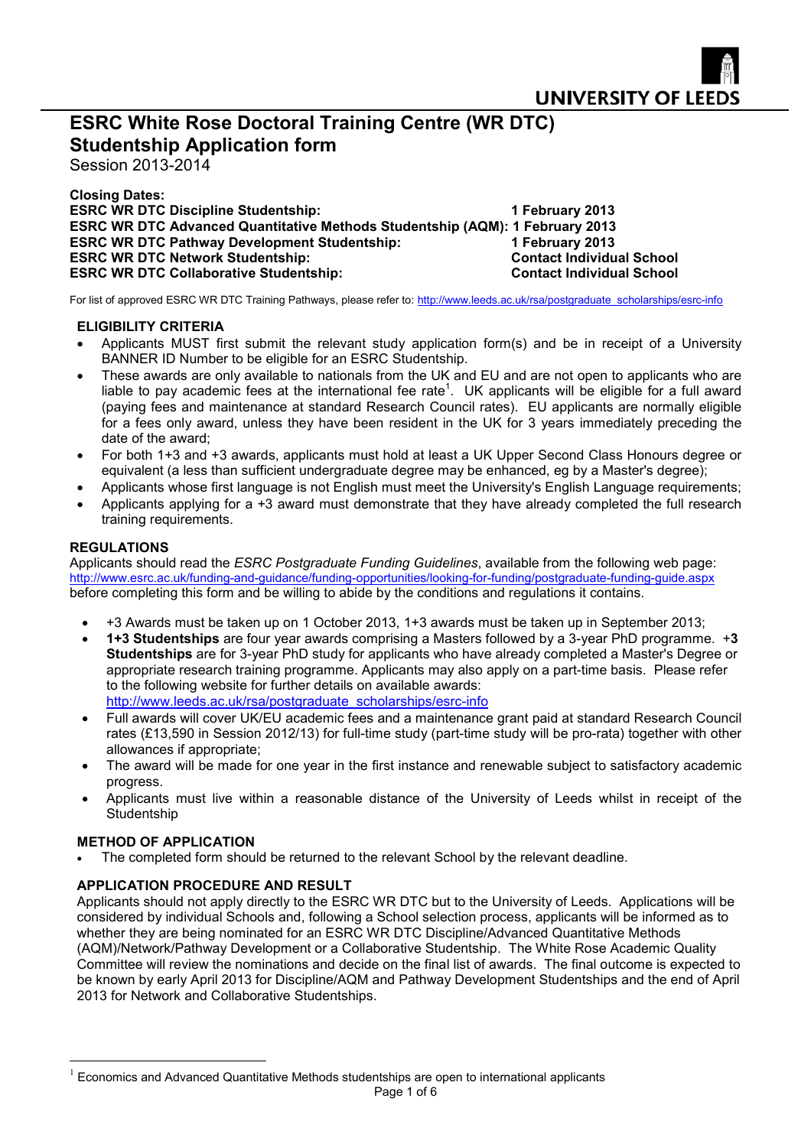

# **ESRC White Rose Doctoral Training Centre (WR DTC) Studentship Application form**

Session 2013-2014

**Closing Dates: ESRC WR DTC Discipline Studentship:** 1 February 2013 **ESRC WR DTC Advanced Quantitative Methods Studentship (AQM): 1 February 2013 ESRC WR DTC Pathway Development Studentship: 1 February 2013 ESRC WR DTC Network Studentship:** Contact Individual School **ESRC WR DTC Collaborative Studentship: Contact Individual School**

For list of approved ESRC WR DTC Training Pathways, please refer to: [http://www.leeds.ac.uk/rsa/postgraduate\\_scholarships/esrc-info](http://www.leeds.ac.uk/rsa/postgraduate_scholarships/esrc-info)

## **ELIGIBILITY CRITERIA**

- Applicants MUST first submit the relevant study application form(s) and be in receipt of a University BANNER ID Number to be eligible for an ESRC Studentship.
- These awards are only available to nationals from the UK and EU and are not open to applicants who are liableto pay acad[e](#page-0-0)mic fees at the international fee rate<sup>1</sup>. UK applicants will be eligible for a full award (paying fees and maintenance at standard Research Council rates). EU applicants are normally eligible for a fees only award, unless they have been resident in the UK for 3 years immediately preceding the date of the award;
- For both 1+3 and +3 awards, applicants must hold at least a UK Upper Second Class Honours degree or equivalent (a less than sufficient undergraduate degree may be enhanced, eg by a Master's degree);
- Applicants whose first language is not English must meet the University's English Language requirements;
- Applicants applying for a +3 award must demonstrate that they have already completed the full research training requirements.

## **REGULATIONS**

Applicants should read the *ESRC Postgraduate Funding Guidelines*, available from the following web page: <http://www.esrc.ac.uk/funding-and-guidance/funding-opportunities/looking-for-funding/postgraduate-funding-guide.aspx> before completing this form and be willing to abide by the conditions and regulations it contains.

- +3 Awards must be taken up on 1 October 2013, 1+3 awards must be taken up in September 2013;
- **1+3 Studentships** are four year awards comprising a Masters followed by a 3-year PhD programme. +**3 Studentships** are for 3-year PhD study for applicants who have already completed a Master's Degree or appropriate research training programme. Applicants may also apply on a part-time basis. Please refer to the following website for further details on available awards: [http://www.leeds.ac.uk/rsa/postgraduate\\_scholarships/esrc-info](http://www.leeds.ac.uk/rsa/postgraduate_scholarships/esrc-info)
- Full awards will cover UK/EU academic fees and a maintenance grant paid at standard Research Council rates (£13,590 in Session 2012/13) for full-time study (part-time study will be pro-rata) together with other allowances if appropriate;
- The award will be made for one year in the first instance and renewable subject to satisfactory academic progress.
- Applicants must live within a reasonable distance of the University of Leeds whilst in receipt of the **Studentship**

#### **METHOD OF APPLICATION**

The completed form should be returned to the relevant School by the relevant deadline.

# **APPLICATION PROCEDURE AND RESULT**

Applicants should not apply directly to the ESRC WR DTC but to the University of Leeds. Applications will be considered by individual Schools and, following a School selection process, applicants will be informed as to whether they are being nominated for an ESRC WR DTC Discipline/Advanced Quantitative Methods (AQM)/Network/Pathway Development or a Collaborative Studentship. The White Rose Academic Quality Committee will review the nominations and decide on the final list of awards. The final outcome is expected to be known by early April 2013 for Discipline/AQM and Pathway Development Studentships and the end of April 2013 for Network and Collaborative Studentships.

<span id="page-0-0"></span> $1$  Economics and Advanced Quantitative Methods studentships are open to international applicants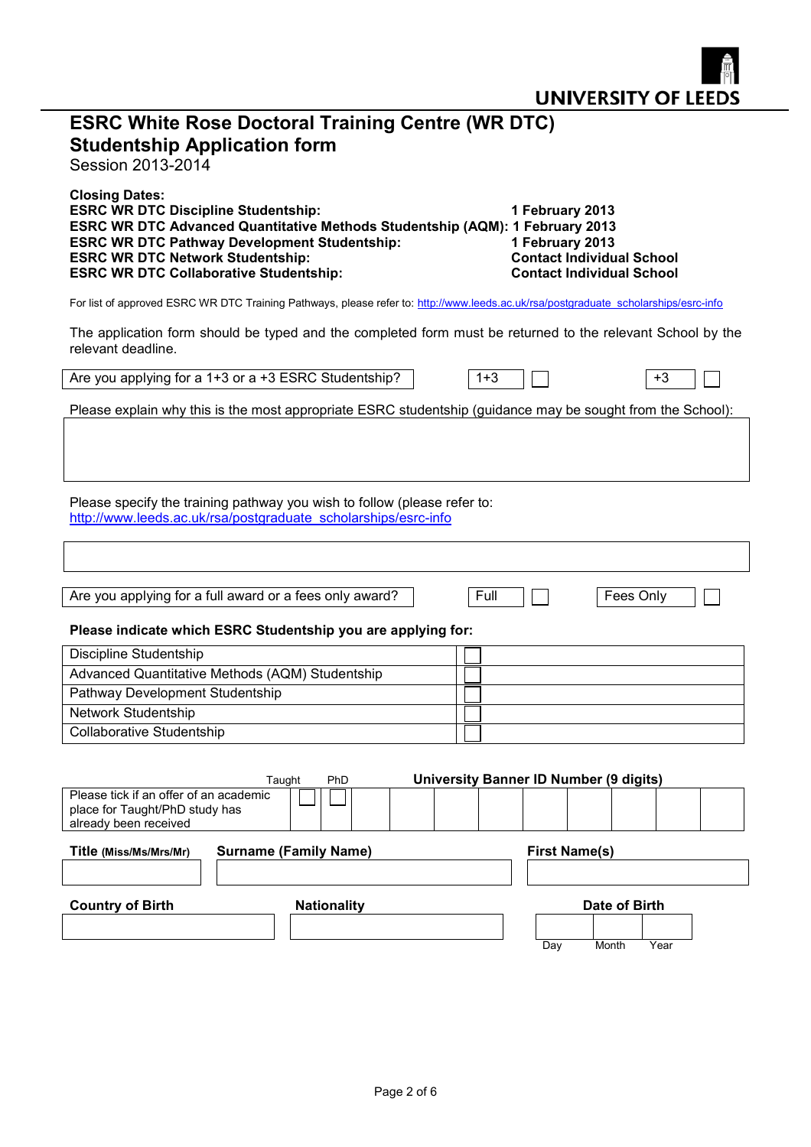|                                                                                                                                                                                                                                                                                                        |                              |         |                                                                                                            | <b>UNIVERSITY OF LEEDS</b> |
|--------------------------------------------------------------------------------------------------------------------------------------------------------------------------------------------------------------------------------------------------------------------------------------------------------|------------------------------|---------|------------------------------------------------------------------------------------------------------------|----------------------------|
| <b>ESRC White Rose Doctoral Training Centre (WR DTC)</b><br><b>Studentship Application form</b><br>Session 2013-2014                                                                                                                                                                                   |                              |         |                                                                                                            |                            |
| <b>Closing Dates:</b><br><b>ESRC WR DTC Discipline Studentship:</b><br>ESRC WR DTC Advanced Quantitative Methods Studentship (AQM): 1 February 2013<br><b>ESRC WR DTC Pathway Development Studentship:</b><br><b>ESRC WR DTC Network Studentship:</b><br><b>ESRC WR DTC Collaborative Studentship:</b> |                              |         | 1 February 2013<br>1 February 2013<br><b>Contact Individual School</b><br><b>Contact Individual School</b> |                            |
| For list of approved ESRC WR DTC Training Pathways, please refer to: http://www.leeds.ac.uk/rsa/postgraduate_scholarships/esrc-info                                                                                                                                                                    |                              |         |                                                                                                            |                            |
| The application form should be typed and the completed form must be returned to the relevant School by the<br>relevant deadline.                                                                                                                                                                       |                              |         |                                                                                                            |                            |
| Are you applying for a 1+3 or a +3 ESRC Studentship?                                                                                                                                                                                                                                                   |                              | $1 + 3$ |                                                                                                            | +3                         |
| Please explain why this is the most appropriate ESRC studentship (guidance may be sought from the School):                                                                                                                                                                                             |                              |         |                                                                                                            |                            |
| Please specify the training pathway you wish to follow (please refer to:<br>http://www.leeds.ac.uk/rsa/postgraduate scholarships/esrc-info                                                                                                                                                             |                              |         |                                                                                                            |                            |
|                                                                                                                                                                                                                                                                                                        |                              |         |                                                                                                            |                            |
| Are you applying for a full award or a fees only award?                                                                                                                                                                                                                                                |                              | Full    |                                                                                                            | Fees Only                  |
| Please indicate which ESRC Studentship you are applying for:                                                                                                                                                                                                                                           |                              |         |                                                                                                            |                            |
| <b>Discipline Studentship</b>                                                                                                                                                                                                                                                                          |                              |         |                                                                                                            |                            |
| Advanced Quantitative Methods (AQM) Studentship                                                                                                                                                                                                                                                        |                              |         |                                                                                                            |                            |
| Pathway Development Studentship<br>Network Studentship                                                                                                                                                                                                                                                 |                              |         |                                                                                                            |                            |
| <b>Collaborative Studentship</b>                                                                                                                                                                                                                                                                       |                              |         |                                                                                                            |                            |
|                                                                                                                                                                                                                                                                                                        |                              |         |                                                                                                            |                            |
|                                                                                                                                                                                                                                                                                                        | PhD                          |         | <b>University Banner ID Number (9 digits)</b>                                                              |                            |
| Taught<br>Please tick if an offer of an academic<br>place for Taught/PhD study has<br>already been received                                                                                                                                                                                            |                              |         |                                                                                                            |                            |
| Title (Miss/Ms/Mrs/Mr)                                                                                                                                                                                                                                                                                 | <b>Surname (Family Name)</b> |         | <b>First Name(s)</b>                                                                                       |                            |
|                                                                                                                                                                                                                                                                                                        |                              |         |                                                                                                            |                            |
| <b>Country of Birth</b>                                                                                                                                                                                                                                                                                | <b>Nationality</b>           |         |                                                                                                            | Date of Birth              |
|                                                                                                                                                                                                                                                                                                        |                              |         | Day                                                                                                        | Year<br>Month              |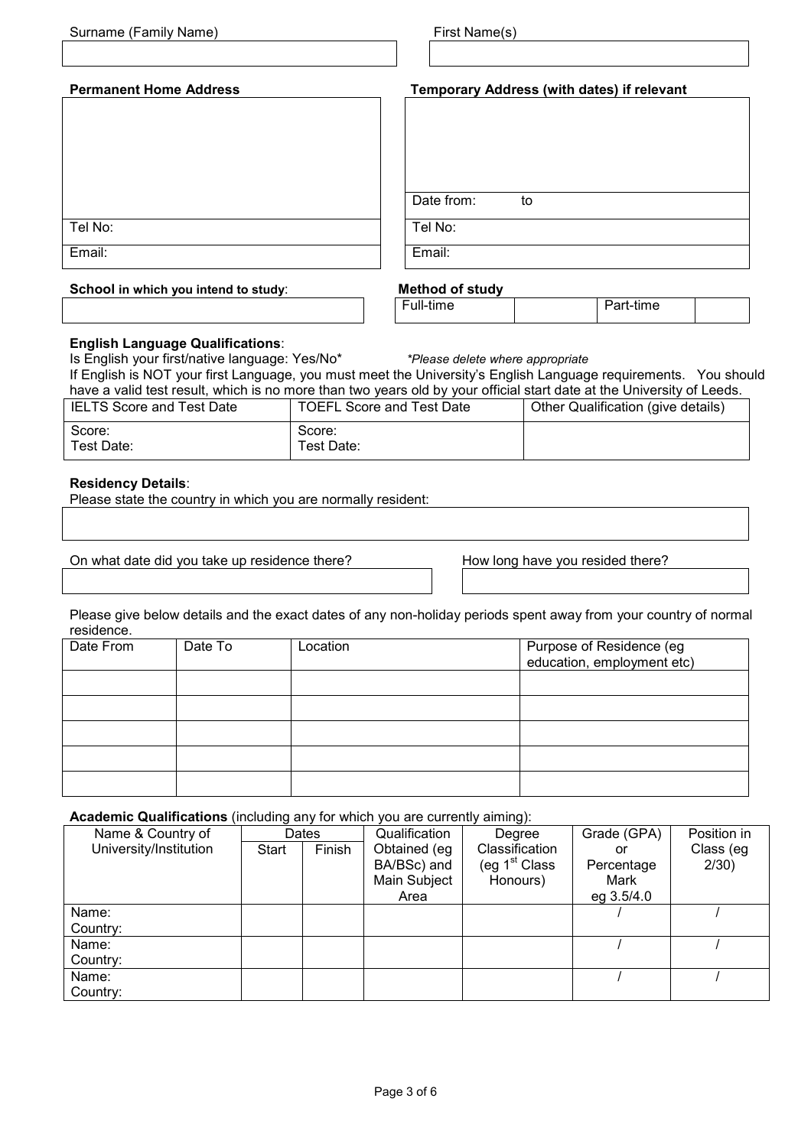| Surname (Family Name)                | First Name(s)                              |
|--------------------------------------|--------------------------------------------|
|                                      |                                            |
| <b>Permanent Home Address</b>        | Temporary Address (with dates) if relevant |
|                                      |                                            |
|                                      |                                            |
|                                      |                                            |
|                                      | Date from:<br>to                           |
| Tel No:                              | Tel No:                                    |
| Email:                               | Email:                                     |
| School in which you intend to study: | <b>Method of study</b>                     |

# **English Language Qualifications**:

Is English your first/native language: Yes/No\* *\*Please delete where appropriate* If English is NOT your first Language, you must meet the University's English Language requirements. You should have a valid test result, which is no more than two years old by your official start date at the University of Leeds.

| IELTS Score and Test Date | TOEFL Score and Test Date | Other Qualification (give details) |  |  |  |
|---------------------------|---------------------------|------------------------------------|--|--|--|
| Score:                    | Score:                    |                                    |  |  |  |
| Test Date:                | Test Date:                |                                    |  |  |  |

# **Residency Details**:

Please state the country in which you are normally resident:

On what date did you take up residence there? How long have you resided there?

Full-time **Part-time** 

Please give below details and the exact dates of any non-holiday periods spent away from your country of normal residence.

| Date From | Date To | Location | Purpose of Residence (eg<br>education, employment etc) |
|-----------|---------|----------|--------------------------------------------------------|
|           |         |          |                                                        |
|           |         |          |                                                        |
|           |         |          |                                                        |
|           |         |          |                                                        |
|           |         |          |                                                        |

**Academic Qualifications** (including any for which you are currently aiming):

| Name & Country of      |       | Dates  | Qualification | Degree          | Grade (GPA) | Position in |
|------------------------|-------|--------|---------------|-----------------|-------------|-------------|
| University/Institution | Start | Finish | Obtained (eg  | Classification  | or          | Class (eg   |
|                        |       |        | BA/BSc) and   | (eg $1st$ Class | Percentage  | $2/30$ )    |
|                        |       |        | Main Subject  | Honours)        | Mark        |             |
|                        |       |        | Area          |                 | eg 3.5/4.0  |             |
| Name:                  |       |        |               |                 |             |             |
| Country:               |       |        |               |                 |             |             |
| Name:                  |       |        |               |                 |             |             |
| Country:               |       |        |               |                 |             |             |
| Name:                  |       |        |               |                 |             |             |
| Country:               |       |        |               |                 |             |             |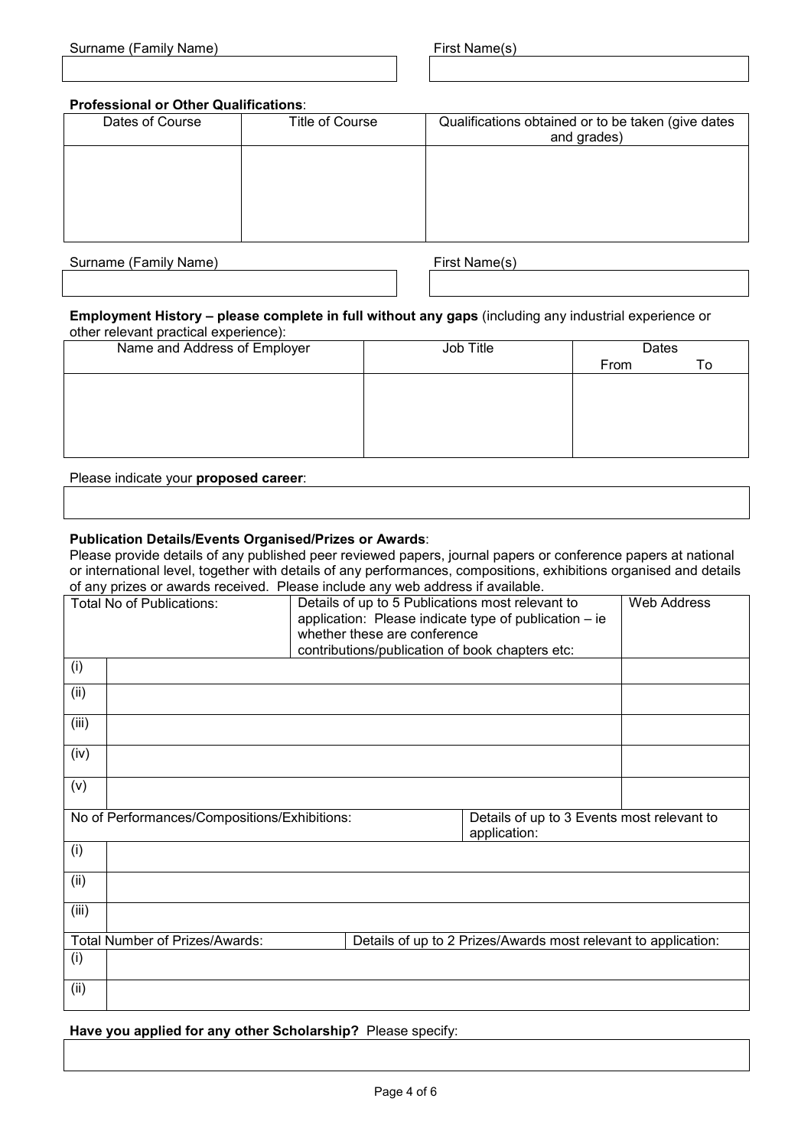| Surname (Family Name) |  |  |
|-----------------------|--|--|
|-----------------------|--|--|

# **Professional or Other Qualifications**:

| Dates of Course | Title of Course | Qualifications obtained or to be taken (give dates<br>and grades) |
|-----------------|-----------------|-------------------------------------------------------------------|
|                 |                 |                                                                   |
|                 |                 |                                                                   |
|                 |                 |                                                                   |

Surname (Family Name) First Name(s)

#### **Employment History – please complete in full without any gaps** (including any industrial experience or other relevant practical experience):

| Name and Address of Employer | Job Title | Dates |    |
|------------------------------|-----------|-------|----|
|                              |           | From  | To |
|                              |           |       |    |
|                              |           |       |    |
|                              |           |       |    |
|                              |           |       |    |
|                              |           |       |    |

Please indicate your **proposed career**:

# **Publication Details/Events Organised/Prizes or Awards**:

Please provide details of any published peer reviewed papers, journal papers or conference papers at national or international level, together with details of any performances, compositions, exhibitions organised and details of any prizes or awards received. Please include any web address if available.

|       | 0. any philod of amarao rodon oa: 1 roado molado any 1100 additiou n'arahabito<br><b>Total No of Publications:</b> | Details of up to 5 Publications most relevant to |                                                                | Web Address |
|-------|--------------------------------------------------------------------------------------------------------------------|--------------------------------------------------|----------------------------------------------------------------|-------------|
|       | application: Please indicate type of publication - ie                                                              |                                                  |                                                                |             |
|       | whether these are conference                                                                                       |                                                  |                                                                |             |
|       |                                                                                                                    | contributions/publication of book chapters etc:  |                                                                |             |
| (i)   |                                                                                                                    |                                                  |                                                                |             |
| (ii)  |                                                                                                                    |                                                  |                                                                |             |
| (iii) |                                                                                                                    |                                                  |                                                                |             |
| (iv)  |                                                                                                                    |                                                  |                                                                |             |
| (v)   |                                                                                                                    |                                                  |                                                                |             |
|       | No of Performances/Compositions/Exhibitions:                                                                       |                                                  | Details of up to 3 Events most relevant to<br>application:     |             |
| (i)   |                                                                                                                    |                                                  |                                                                |             |
| (ii)  |                                                                                                                    |                                                  |                                                                |             |
| (iii) |                                                                                                                    |                                                  |                                                                |             |
|       | Total Number of Prizes/Awards:                                                                                     |                                                  | Details of up to 2 Prizes/Awards most relevant to application: |             |
| (i)   |                                                                                                                    |                                                  |                                                                |             |
| (ii)  |                                                                                                                    |                                                  |                                                                |             |

**Have you applied for any other Scholarship?** Please specify: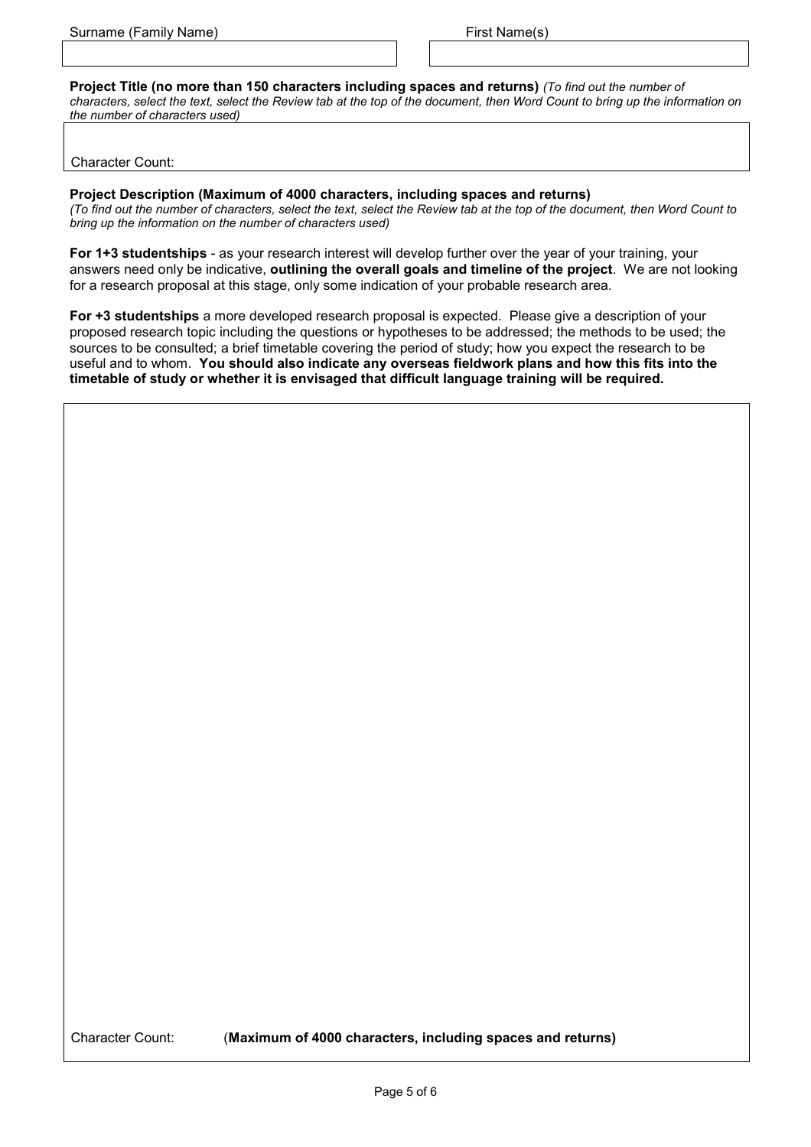**Project Title (no more than 150 characters including spaces and returns)** *(To find out the number of*

*characters, select the text, select the Review tab at the top of the document, then Word Count to bring up the information on the number of characters used)*

Character Count:

**Project Description (Maximum of 4000 characters, including spaces and returns)**

*(To find out the number of characters, select the text, select the Review tab at the top of the document, then Word Count to bring up the information on the number of characters used)*

**For 1+3 studentships** - as your research interest will develop further over the year of your training, your answers need only be indicative, **outlining the overall goals and timeline of the project**. We are not looking for a research proposal at this stage, only some indication of your probable research area.

**For +3 studentships** a more developed research proposal is expected. Please give a description of your proposed research topic including the questions or hypotheses to be addressed; the methods to be used; the sources to be consulted; a brief timetable covering the period of study; how you expect the research to be useful and to whom. **You should also indicate any overseas fieldwork plans and how this fits into the timetable of study or whether it is envisaged that difficult language training will be required.**

Character Count: (**Maximum of 4000 characters, including spaces and returns)**